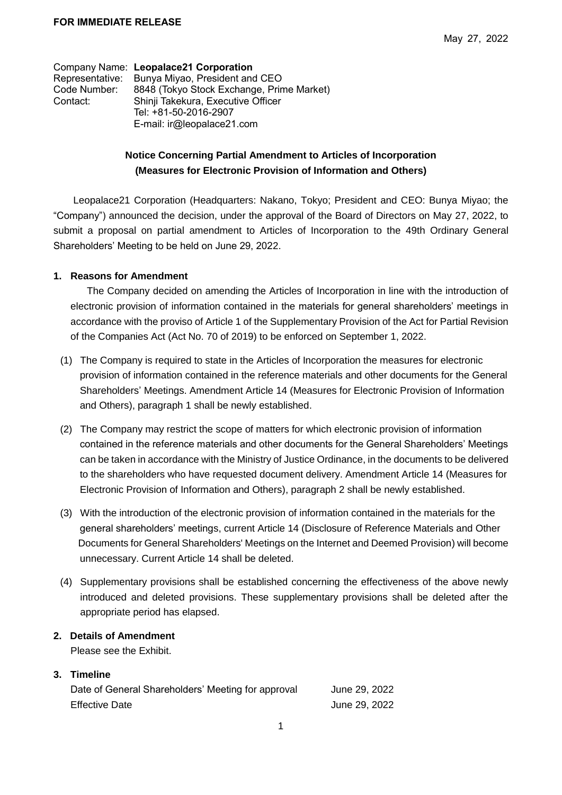|                 | Company Name: Leopalace21 Corporation     |
|-----------------|-------------------------------------------|
| Representative: | Bunya Miyao, President and CEO            |
| Code Number:    | 8848 (Tokyo Stock Exchange, Prime Market) |
| Contact:        | Shinji Takekura, Executive Officer        |
|                 | Tel: +81-50-2016-2907                     |
|                 | E-mail: ir@leopalace21.com                |

## **Notice Concerning Partial Amendment to Articles of Incorporation (Measures for Electronic Provision of Information and Others)**

Leopalace21 Corporation (Headquarters: Nakano, Tokyo; President and CEO: Bunya Miyao; the "Company") announced the decision, under the approval of the Board of Directors on May 27, 2022, to submit a proposal on partial amendment to Articles of Incorporation to the 49th Ordinary General Shareholders' Meeting to be held on June 29, 2022.

## **1. Reasons for Amendment**

The Company decided on amending the Articles of Incorporation in line with the introduction of electronic provision of information contained in the materials for general shareholders' meetings in accordance with the proviso of Article 1 of the Supplementary Provision of the Act for Partial Revision of the Companies Act (Act No. 70 of 2019) to be enforced on September 1, 2022.

- (1) The Company is required to state in the Articles of Incorporation the measures for electronic provision of information contained in the reference materials and other documents for the General Shareholders' Meetings. Amendment Article 14 (Measures for Electronic Provision of Information and Others), paragraph 1 shall be newly established.
- (2) The Company may restrict the scope of matters for which electronic provision of information contained in the reference materials and other documents for the General Shareholders' Meetings can be taken in accordance with the Ministry of Justice Ordinance, in the documents to be delivered to the shareholders who have requested document delivery. Amendment Article 14 (Measures for Electronic Provision of Information and Others), paragraph 2 shall be newly established.
- (3) With the introduction of the electronic provision of information contained in the materials for the general shareholders' meetings, current Article 14 (Disclosure of Reference Materials and Other Documents for General Shareholders' Meetings on the Internet and Deemed Provision) will become unnecessary. Current Article 14 shall be deleted.
- (4) Supplementary provisions shall be established concerning the effectiveness of the above newly introduced and deleted provisions. These supplementary provisions shall be deleted after the appropriate period has elapsed.

## **2. Details of Amendment**

Please see the Exhibit.

## **3. Timeline**

| Date of General Shareholders' Meeting for approval | June 29, 2022 |
|----------------------------------------------------|---------------|
| <b>Effective Date</b>                              | June 29, 2022 |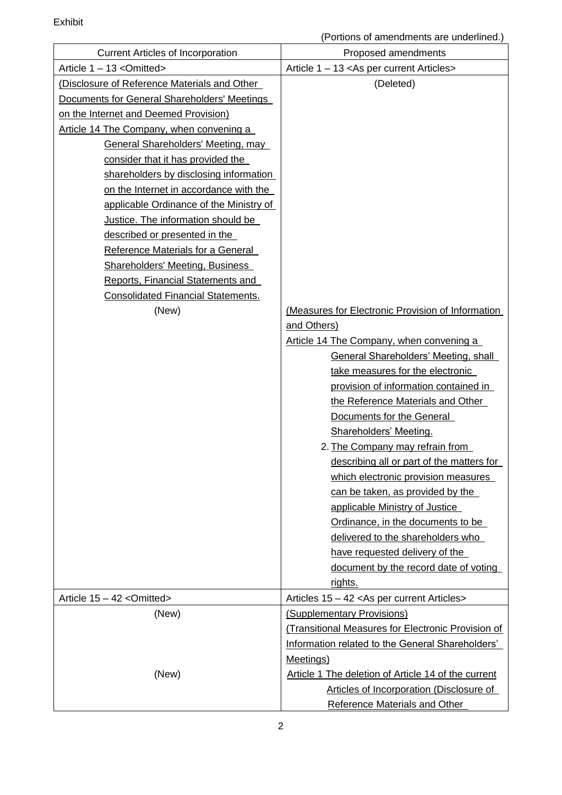| <b>Current Articles of Incorporation</b>     | Proposed amendments                                 |
|----------------------------------------------|-----------------------------------------------------|
| Article 1 - 13 < Omitted>                    | Article 1 - 13 < As per current Articles>           |
| (Disclosure of Reference Materials and Other | (Deleted)                                           |
| Documents for General Shareholders' Meetings |                                                     |
| on the Internet and Deemed Provision)        |                                                     |
| Article 14 The Company, when convening a     |                                                     |
| <b>General Shareholders' Meeting, may</b>    |                                                     |
| consider that it has provided the            |                                                     |
| shareholders by disclosing information       |                                                     |
| on the Internet in accordance with the       |                                                     |
| applicable Ordinance of the Ministry of      |                                                     |
| Justice. The information should be           |                                                     |
| described or presented in the                |                                                     |
| Reference Materials for a General            |                                                     |
| Shareholders' Meeting, Business              |                                                     |
| Reports, Financial Statements and            |                                                     |
| <b>Consolidated Financial Statements.</b>    |                                                     |
| (New)                                        | (Measures for Electronic Provision of Information   |
|                                              | and Others)                                         |
|                                              | Article 14 The Company, when convening a            |
|                                              | <b>General Shareholders' Meeting, shall</b>         |
|                                              | take measures for the electronic                    |
|                                              | provision of information contained in               |
|                                              | the Reference Materials and Other                   |
|                                              | Documents for the General                           |
|                                              | Shareholders' Meeting.                              |
|                                              | 2. The Company may refrain from                     |
|                                              | describing all or part of the matters for           |
|                                              | which electronic provision measures                 |
|                                              | can be taken, as provided by the                    |
|                                              | applicable Ministry of Justice                      |
|                                              | Ordinance, in the documents to be                   |
|                                              | delivered to the shareholders who                   |
|                                              | have requested delivery of the                      |
|                                              | document by the record date of voting               |
|                                              | rights.                                             |
| Article 15 - 42 < Omitted>                   | Articles 15 - 42 < As per current Articles >        |
| (New)                                        | (Supplementary Provisions)                          |
|                                              | (Transitional Measures for Electronic Provision of  |
|                                              | Information related to the General Shareholders'    |
|                                              | Meetings)                                           |
| (New)                                        | Article 1 The deletion of Article 14 of the current |
|                                              | Articles of Incorporation (Disclosure of            |
|                                              | <b>Reference Materials and Other</b>                |